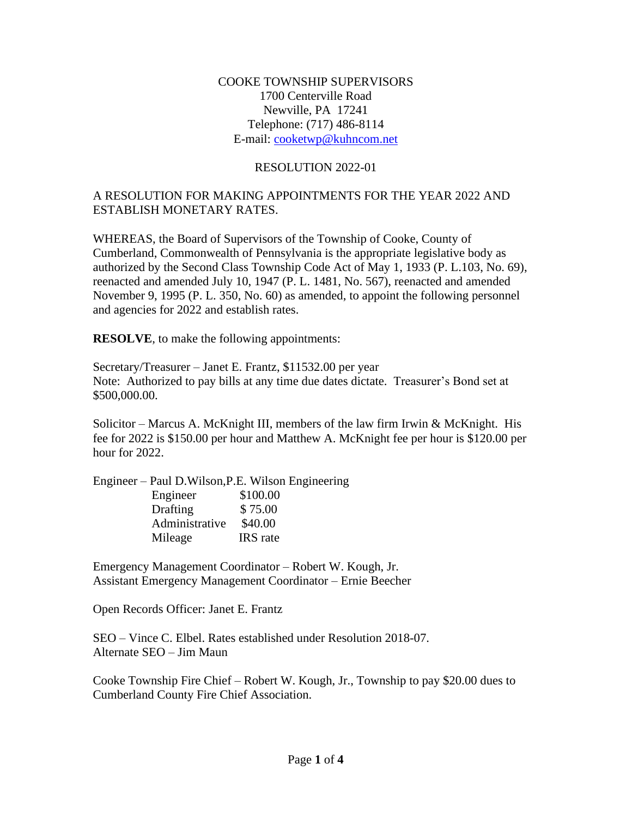#### COOKE TOWNSHIP SUPERVISORS 1700 Centerville Road Newville, PA 17241 Telephone: (717) 486-8114 E-mail: [cooketwp@kuhncom.net](mailto:cooketwp@kuhncom.net)

#### RESOLUTION 2022-01

### A RESOLUTION FOR MAKING APPOINTMENTS FOR THE YEAR 2022 AND ESTABLISH MONETARY RATES.

WHEREAS, the Board of Supervisors of the Township of Cooke, County of Cumberland, Commonwealth of Pennsylvania is the appropriate legislative body as authorized by the Second Class Township Code Act of May 1, 1933 (P. L.103, No. 69), reenacted and amended July 10, 1947 (P. L. 1481, No. 567), reenacted and amended November 9, 1995 (P. L. 350, No. 60) as amended, to appoint the following personnel and agencies for 2022 and establish rates.

**RESOLVE**, to make the following appointments:

Secretary/Treasurer – Janet E. Frantz, \$11532.00 per year Note: Authorized to pay bills at any time due dates dictate. Treasurer's Bond set at \$500,000.00.

Solicitor – Marcus A. McKnight III, members of the law firm Irwin & McKnight. His fee for 2022 is \$150.00 per hour and Matthew A. McKnight fee per hour is \$120.00 per hour for 2022.

Engineer – Paul D.Wilson,P.E. Wilson Engineering Engineer \$100.00 Drafting \$75.00 Administrative \$40.00 Mileage IRS rate

Emergency Management Coordinator – Robert W. Kough, Jr. Assistant Emergency Management Coordinator – Ernie Beecher

Open Records Officer: Janet E. Frantz

SEO – Vince C. Elbel. Rates established under Resolution 2018-07. Alternate SEO – Jim Maun

Cooke Township Fire Chief – Robert W. Kough, Jr., Township to pay \$20.00 dues to Cumberland County Fire Chief Association.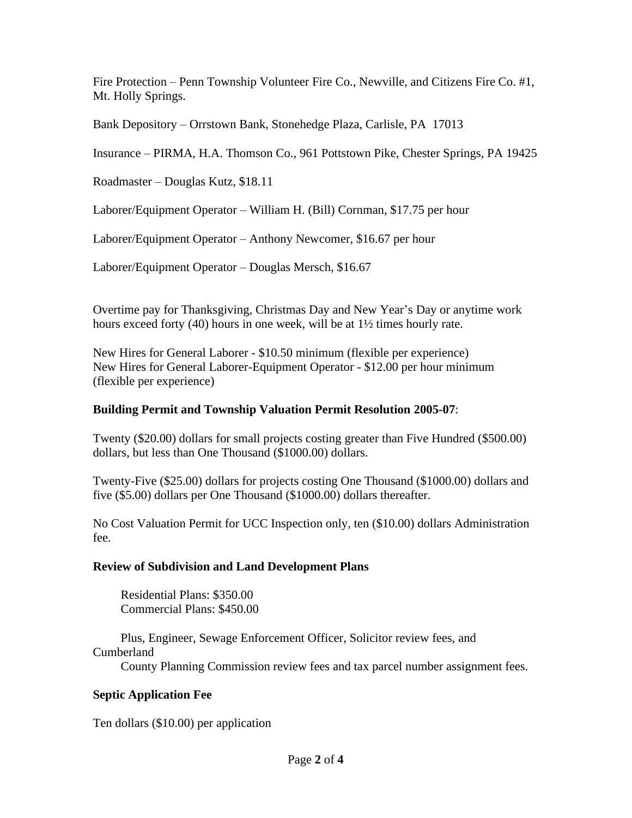Fire Protection – Penn Township Volunteer Fire Co., Newville, and Citizens Fire Co. #1, Mt. Holly Springs.

Bank Depository – Orrstown Bank, Stonehedge Plaza, Carlisle, PA 17013

Insurance – PIRMA, H.A. Thomson Co., 961 Pottstown Pike, Chester Springs, PA 19425

Roadmaster – Douglas Kutz, \$18.11

Laborer/Equipment Operator – William H. (Bill) Cornman, \$17.75 per hour

Laborer/Equipment Operator – Anthony Newcomer, \$16.67 per hour

Laborer/Equipment Operator – Douglas Mersch, \$16.67

Overtime pay for Thanksgiving, Christmas Day and New Year's Day or anytime work hours exceed forty (40) hours in one week, will be at 1½ times hourly rate.

New Hires for General Laborer - \$10.50 minimum (flexible per experience) New Hires for General Laborer-Equipment Operator - \$12.00 per hour minimum (flexible per experience)

### **Building Permit and Township Valuation Permit Resolution 2005-07**:

Twenty (\$20.00) dollars for small projects costing greater than Five Hundred (\$500.00) dollars, but less than One Thousand (\$1000.00) dollars.

Twenty-Five (\$25.00) dollars for projects costing One Thousand (\$1000.00) dollars and five (\$5.00) dollars per One Thousand (\$1000.00) dollars thereafter.

No Cost Valuation Permit for UCC Inspection only, ten (\$10.00) dollars Administration fee.

# **Review of Subdivision and Land Development Plans**

 Residential Plans: \$350.00 Commercial Plans: \$450.00

 Plus, Engineer, Sewage Enforcement Officer, Solicitor review fees, and Cumberland

County Planning Commission review fees and tax parcel number assignment fees.

# **Septic Application Fee**

Ten dollars (\$10.00) per application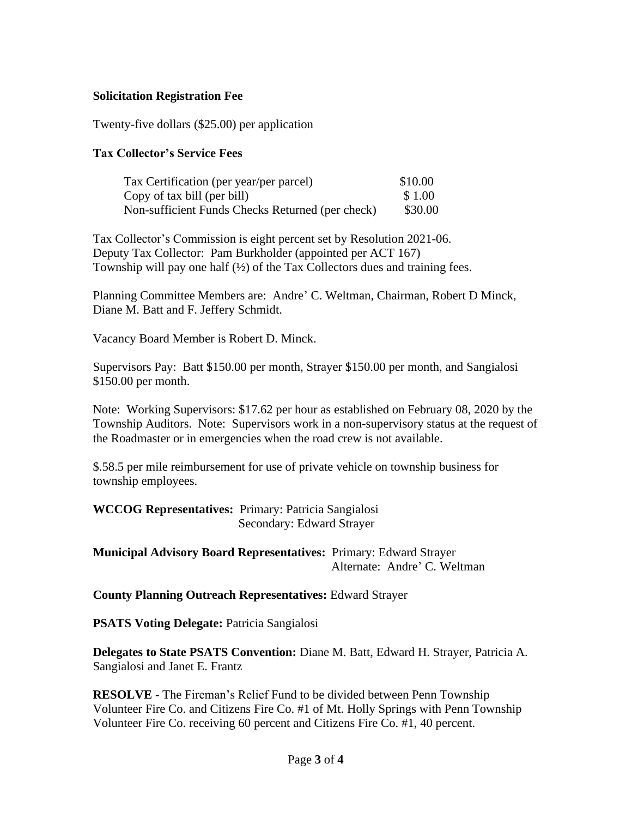### **Solicitation Registration Fee**

Twenty-five dollars (\$25.00) per application

#### **Tax Collector's Service Fees**

| Tax Certification (per year/per parcel)          | \$10.00 |
|--------------------------------------------------|---------|
| Copy of tax bill (per bill)                      | \$1.00  |
| Non-sufficient Funds Checks Returned (per check) | \$30.00 |

Tax Collector's Commission is eight percent set by Resolution 2021-06. Deputy Tax Collector: Pam Burkholder (appointed per ACT 167) Township will pay one half  $(\frac{1}{2})$  of the Tax Collectors dues and training fees.

Planning Committee Members are: Andre' C. Weltman, Chairman, Robert D Minck, Diane M. Batt and F. Jeffery Schmidt.

Vacancy Board Member is Robert D. Minck.

Supervisors Pay: Batt \$150.00 per month, Strayer \$150.00 per month, and Sangialosi \$150.00 per month.

Note: Working Supervisors: \$17.62 per hour as established on February 08, 2020 by the Township Auditors. Note: Supervisors work in a non-supervisory status at the request of the Roadmaster or in emergencies when the road crew is not available.

\$.58.5 per mile reimbursement for use of private vehicle on township business for township employees.

**WCCOG Representatives:** Primary: Patricia Sangialosi Secondary: Edward Strayer

**Municipal Advisory Board Representatives:** Primary: Edward Strayer Alternate: Andre' C. Weltman

**County Planning Outreach Representatives:** Edward Strayer

**PSATS Voting Delegate:** Patricia Sangialosi

**Delegates to State PSATS Convention:** Diane M. Batt, Edward H. Strayer, Patricia A. Sangialosi and Janet E. Frantz

**RESOLVE** - The Fireman's Relief Fund to be divided between Penn Township Volunteer Fire Co. and Citizens Fire Co. #1 of Mt. Holly Springs with Penn Township Volunteer Fire Co. receiving 60 percent and Citizens Fire Co. #1, 40 percent.